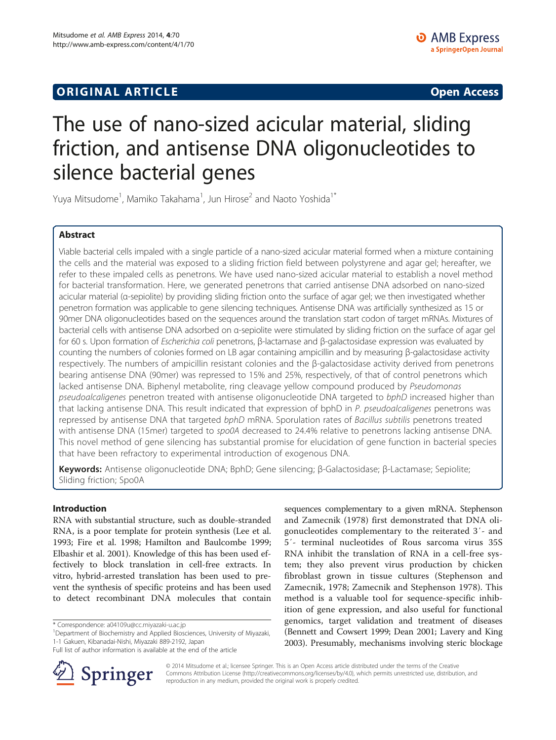## **ORIGINAL ARTICLE CONSUMING A LIGACION** CONSUMING A LIGACION CONSUMING A LIGACION CONSUMING A LIGACION CONSUMING A LIGACION CONSUMING A LIGACION CONSUMING A LIGACION CONSUMING A LIGACION CONSUMING A LIGACION CONSUMING A

# The use of nano-sized acicular material, sliding friction, and antisense DNA oligonucleotides to silence bacterial genes

Yuya Mitsudome<sup>1</sup>, Mamiko Takahama<sup>1</sup>, Jun Hirose<sup>2</sup> and Naoto Yoshida<sup>1\*</sup>

## Abstract

Viable bacterial cells impaled with a single particle of a nano-sized acicular material formed when a mixture containing the cells and the material was exposed to a sliding friction field between polystyrene and agar gel; hereafter, we refer to these impaled cells as penetrons. We have used nano-sized acicular material to establish a novel method for bacterial transformation. Here, we generated penetrons that carried antisense DNA adsorbed on nano-sized acicular material (α-sepiolite) by providing sliding friction onto the surface of agar gel; we then investigated whether penetron formation was applicable to gene silencing techniques. Antisense DNA was artificially synthesized as 15 or 90mer DNA oligonucleotides based on the sequences around the translation start codon of target mRNAs. Mixtures of bacterial cells with antisense DNA adsorbed on α-sepiolite were stimulated by sliding friction on the surface of agar gel for 60 s. Upon formation of Escherichia coli penetrons, β-lactamase and β-galactosidase expression was evaluated by counting the numbers of colonies formed on LB agar containing ampicillin and by measuring β-galactosidase activity respectively. The numbers of ampicillin resistant colonies and the β-galactosidase activity derived from penetrons bearing antisense DNA (90mer) was repressed to 15% and 25%, respectively, of that of control penetrons which lacked antisense DNA. Biphenyl metabolite, ring cleavage yellow compound produced by Pseudomonas pseudoalcaligenes penetron treated with antisense oligonucleotide DNA targeted to bphD increased higher than that lacking antisense DNA. This result indicated that expression of bphD in P. pseudoalcaligenes penetrons was repressed by antisense DNA that targeted bphD mRNA. Sporulation rates of Bacillus subtilis penetrons treated with antisense DNA (15mer) targeted to spo0A decreased to 24.4% relative to penetrons lacking antisense DNA. This novel method of gene silencing has substantial promise for elucidation of gene function in bacterial species that have been refractory to experimental introduction of exogenous DNA.

Keywords: Antisense oligonucleotide DNA; BphD; Gene silencing; β-Galactosidase; β-Lactamase; Sepiolite; Sliding friction; Spo0A

## Introduction

RNA with substantial structure, such as double-stranded RNA, is a poor template for protein synthesis (Lee et al. [1993](#page-9-0); Fire et al. [1998;](#page-9-0) Hamilton and Baulcombe [1999](#page-9-0); Elbashir et al. [2001\)](#page-9-0). Knowledge of this has been used effectively to block translation in cell-free extracts. In vitro, hybrid-arrested translation has been used to prevent the synthesis of specific proteins and has been used to detect recombinant DNA molecules that contain

Full list of author information is available at the end of the article



sequences complementary to a given mRNA. Stephenson and Zamecnik ([1978\)](#page-10-0) first demonstrated that DNA oligonucleotides complementary to the reiterated 3′- and 5′- terminal nucleotides of Rous sarcoma virus 35S RNA inhibit the translation of RNA in a cell-free system; they also prevent virus production by chicken fibroblast grown in tissue cultures (Stephenson and Zamecnik, [1978;](#page-10-0) Zamecnik and Stephenson [1978\)](#page-10-0). This method is a valuable tool for sequence-specific inhibition of gene expression, and also useful for functional genomics, target validation and treatment of diseases (Bennett and Cowsert [1999;](#page-9-0) Dean [2001;](#page-9-0) Lavery and King [2003](#page-9-0)). Presumably, mechanisms involving steric blockage

© 2014 Mitsudome et al.; licensee Springer. This is an Open Access article distributed under the terms of the Creative Commons Attribution License (<http://creativecommons.org/licenses/by/4.0>), which permits unrestricted use, distribution, and reproduction in any medium, provided the original work is properly credited.

<sup>\*</sup> Correspondence: [a04109u@cc.miyazaki-u.ac.jp](mailto:a04109u@cc.miyazaki-u.ac.jp) <sup>1</sup>

<sup>&</sup>lt;sup>1</sup>Department of Biochemistry and Applied Biosciences, University of Miyazaki, 1-1 Gakuen, Kibanadai-Nishi, Miyazaki 889-2192, Japan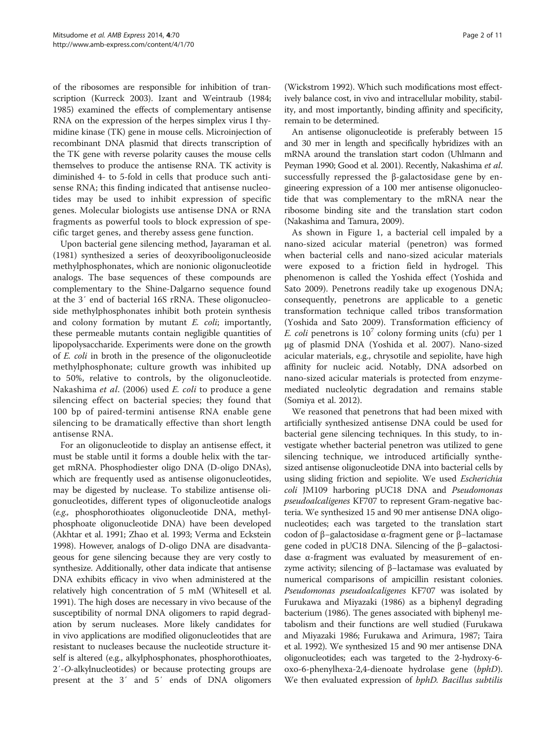of the ribosomes are responsible for inhibition of transcription (Kurreck [2003\)](#page-9-0). Izant and Weintraub [\(1984](#page-9-0); [1985\)](#page-9-0) examined the effects of complementary antisense RNA on the expression of the herpes simplex virus I thymidine kinase (TK) gene in mouse cells. Microinjection of recombinant DNA plasmid that directs transcription of the TK gene with reverse polarity causes the mouse cells themselves to produce the antisense RNA. TK activity is diminished 4- to 5-fold in cells that produce such antisense RNA; this finding indicated that antisense nucleotides may be used to inhibit expression of specific genes. Molecular biologists use antisense DNA or RNA fragments as powerful tools to block expression of specific target genes, and thereby assess gene function.

Upon bacterial gene silencing method, Jayaraman et al. ([1981](#page-9-0)) synthesized a series of deoxyribooligonucleoside methylphosphonates, which are nonionic oligonucleotide analogs. The base sequences of these compounds are complementary to the Shine-Dalgarno sequence found at the 3′ end of bacterial 16S rRNA. These oligonucleoside methylphosphonates inhibit both protein synthesis and colony formation by mutant *E. coli*; importantly, these permeable mutants contain negligible quantities of lipopolysaccharide. Experiments were done on the growth of E. coli in broth in the presence of the oligonucleotide methylphosphonate; culture growth was inhibited up to 50%, relative to controls, by the oligonucleotide. Nakashima et al. ([2006](#page-10-0)) used E. coli to produce a gene silencing effect on bacterial species; they found that 100 bp of paired-termini antisense RNA enable gene silencing to be dramatically effective than short length antisense RNA.

For an oligonucleotide to display an antisense effect, it must be stable until it forms a double helix with the target mRNA. Phosphodiester oligo DNA (D-oligo DNAs), which are frequently used as antisense oligonucleotides, may be digested by nuclease. To stabilize antisense oligonucleotides, different types of oligonucleotide analogs (e.g., phosphorothioates oligonucleotide DNA, methylphosphoate oligonucleotide DNA) have been developed (Akhtar et al. [1991;](#page-9-0) Zhao et al. [1993;](#page-10-0) Verma and Eckstein [1998\)](#page-10-0). However, analogs of D-oligo DNA are disadvantageous for gene silencing because they are very costly to synthesize. Additionally, other data indicate that antisense DNA exhibits efficacy in vivo when administered at the relatively high concentration of 5 mM (Whitesell et al. [1991\)](#page-10-0). The high doses are necessary in vivo because of the susceptibility of normal DNA oligomers to rapid degradation by serum nucleases. More likely candidates for in vivo applications are modified oligonucleotides that are resistant to nucleases because the nucleotide structure itself is altered (e.g., alkylphosphonates, phosphorothioates, 2′-O-alkylnucleotides) or because protecting groups are present at the 3′ and 5′ ends of DNA oligomers

(Wickstrom [1992\)](#page-10-0). Which such modifications most effectively balance cost, in vivo and intracellular mobility, stability, and most importantly, binding affinity and specificity, remain to be determined.

An antisense oligonucleotide is preferably between 15 and 30 mer in length and specifically hybridizes with an mRNA around the translation start codon (Uhlmann and Peyman [1990;](#page-10-0) Good et al. [2001\)](#page-9-0). Recently, Nakashima et al. successfully repressed the β-galactosidase gene by engineering expression of a 100 mer antisense oligonucleotide that was complementary to the mRNA near the ribosome binding site and the translation start codon (Nakashima and Tamura, [2009\)](#page-10-0).

As shown in Figure [1](#page-2-0), a bacterial cell impaled by a nano-sized acicular material (penetron) was formed when bacterial cells and nano-sized acicular materials were exposed to a friction field in hydrogel. This phenomenon is called the Yoshida effect (Yoshida and Sato [2009](#page-10-0)). Penetrons readily take up exogenous DNA; consequently, penetrons are applicable to a genetic transformation technique called tribos transformation (Yoshida and Sato [2009\)](#page-10-0). Transformation efficiency of E. coli penetrons is  $10^7$  colony forming units (cfu) per 1 μg of plasmid DNA (Yoshida et al. [2007](#page-10-0)). Nano-sized acicular materials, e.g., chrysotile and sepiolite, have high affinity for nucleic acid. Notably, DNA adsorbed on nano-sized acicular materials is protected from enzymemediated nucleolytic degradation and remains stable (Somiya et al. [2012\)](#page-10-0).

We reasoned that penetrons that had been mixed with artificially synthesized antisense DNA could be used for bacterial gene silencing techniques. In this study, to investigate whether bacterial penetron was utilized to gene silencing technique, we introduced artificially synthesized antisense oligonucleotide DNA into bacterial cells by using sliding friction and sepiolite. We used Escherichia coli JM109 harboring pUC18 DNA and Pseudomonas pseudoalcaligenes KF707 to represent Gram-negative bacteria. We synthesized 15 and 90 mer antisense DNA oligonucleotides; each was targeted to the translation start codon of β−galactosidase α-fragment gene or β−lactamase gene coded in pUC18 DNA. Silencing of the β−galactosidase α-fragment was evaluated by measurement of enzyme activity; silencing of β−lactamase was evaluated by numerical comparisons of ampicillin resistant colonies. Pseudomonas pseudoalcaligenes KF707 was isolated by Furukawa and Miyazaki ([1986\)](#page-9-0) as a biphenyl degrading bacterium (1986). The genes associated with biphenyl metabolism and their functions are well studied (Furukawa and Miyazaki [1986](#page-9-0); Furukawa and Arimura, [1987;](#page-9-0) Taira et al. [1992](#page-10-0)). We synthesized 15 and 90 mer antisense DNA oligonucleotides; each was targeted to the 2-hydroxy-6 oxo-6-phenylhexa-2,4-dienoate hydrolase gene (bphD). We then evaluated expression of bphD. Bacillus subtilis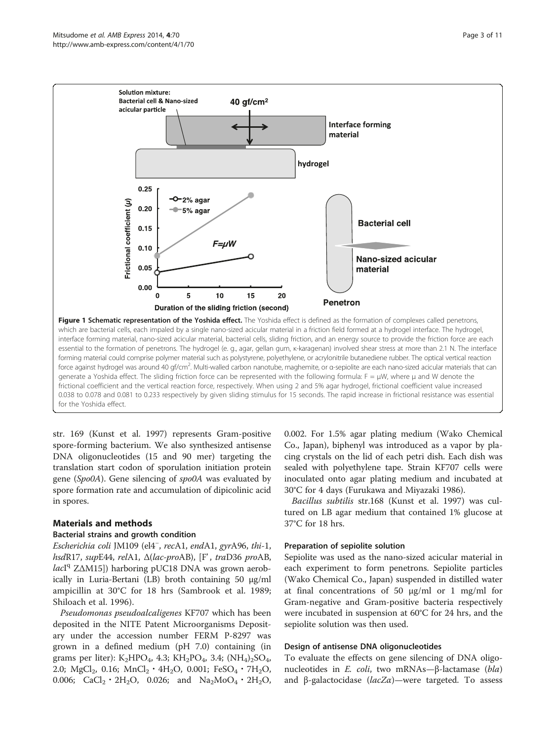<span id="page-2-0"></span>

for the Yoshida effect.

str. 169 (Kunst et al. [1997\)](#page-9-0) represents Gram-positive spore-forming bacterium. We also synthesized antisense DNA oligonucleotides (15 and 90 mer) targeting the translation start codon of sporulation initiation protein gene (Spo0A). Gene silencing of spo0A was evaluated by spore formation rate and accumulation of dipicolinic acid in spores.

## Materials and methods

#### Bacterial strains and growth condition

Escherichia coli JM109 (el4<sup>−</sup> , recA1, endA1, gyrA96, thi-1, hsdR17, supE44, relA1, Δ(lac-proAB), [F' , traD36 proAB, lacI<sup>q</sup> ZΔM15]) harboring pUC18 DNA was grown aerobically in Luria-Bertani (LB) broth containing 50 μg/ml ampicillin at 30°C for 18 hrs (Sambrook et al. [1989](#page-10-0); Shiloach et al. [1996](#page-10-0)).

Pseudomonas pseudoalcaligenes KF707 which has been deposited in the NITE Patent Microorganisms Depositary under the accession number FERM P-8297 was grown in a defined medium (pH 7.0) containing (in grams per liter): K<sub>2</sub>HPO<sub>4</sub>, 4.3; KH<sub>2</sub>PO<sub>4</sub>, 3.4; (NH<sub>4</sub>)<sub>2</sub>SO<sub>4</sub>, 2.0; MgCl<sub>2</sub>, 0.16; MnCl<sub>2</sub> · 4H<sub>2</sub>O, 0.001; FeSO<sub>4</sub> · 7H<sub>2</sub>O, 0.006;  $CaCl_2 \cdot 2H_2O$ , 0.026; and  $Na_2MoO_4 \cdot 2H_2O$ , 0.002. For 1.5% agar plating medium (Wako Chemical Co., Japan), biphenyl was introduced as a vapor by placing crystals on the lid of each petri dish. Each dish was sealed with polyethylene tape. Strain KF707 cells were inoculated onto agar plating medium and incubated at 30°C for 4 days (Furukawa and Miyazaki [1986](#page-9-0)).

Bacillus subtilis str.168 (Kunst et al. [1997\)](#page-9-0) was cultured on LB agar medium that contained 1% glucose at 37°C for 18 hrs.

#### Preparation of sepiolite solution

Sepiolite was used as the nano-sized acicular material in each experiment to form penetrons. Sepiolite particles (Wako Chemical Co., Japan) suspended in distilled water at final concentrations of 50 μg/ml or 1 mg/ml for Gram-negative and Gram-positive bacteria respectively were incubated in suspension at 60°C for 24 hrs, and the sepiolite solution was then used.

#### Design of antisense DNA oligonucleotides

To evaluate the effects on gene silencing of DNA oligonucleotides in *E. coli*, two mRNAs—β-lactamase (*bla*) and β-galactocidase ( $lacZα$ )—were targeted. To assess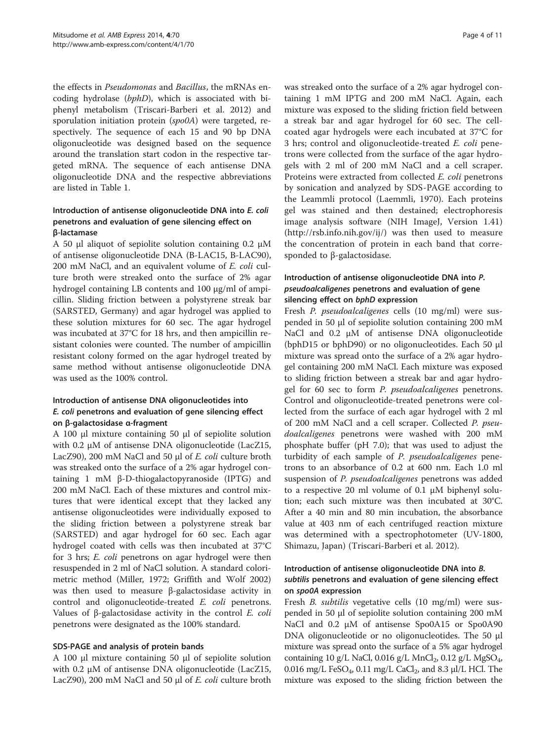the effects in Pseudomonas and Bacillus, the mRNAs encoding hydrolase (bphD), which is associated with biphenyl metabolism (Triscari-Barberi et al. [2012](#page-10-0)) and sporulation initiation protein (spo0A) were targeted, respectively. The sequence of each 15 and 90 bp DNA oligonucleotide was designed based on the sequence around the translation start codon in the respective targeted mRNA. The sequence of each antisense DNA oligonucleotide DNA and the respective abbreviations are listed in Table [1.](#page-4-0)

#### Introduction of antisense oligonucleotide DNA into E. coli penetrons and evaluation of gene silencing effect on β-lactamase

A 50 μl aliquot of sepiolite solution containing 0.2 μM of antisense oligonucleotide DNA (B-LAC15, B-LAC90), 200 mM NaCl, and an equivalent volume of E. coli culture broth were streaked onto the surface of 2% agar hydrogel containing LB contents and 100 μg/ml of ampicillin. Sliding friction between a polystyrene streak bar (SARSTED, Germany) and agar hydrogel was applied to these solution mixtures for 60 sec. The agar hydrogel was incubated at 37°C for 18 hrs, and then ampicillin resistant colonies were counted. The number of ampicillin resistant colony formed on the agar hydrogel treated by same method without antisense oligonucleotide DNA was used as the 100% control.

## Introduction of antisense DNA oligonucleotides into E. coli penetrons and evaluation of gene silencing effect on β-galactosidase α-fragment

A 100 μl mixture containing 50 μl of sepiolite solution with 0.2 μM of antisense DNA oligonucleotide (LacZ15, LacZ90), 200 mM NaCl and 50 μl of E. coli culture broth was streaked onto the surface of a 2% agar hydrogel containing 1 mM β-D-thiogalactopyranoside (IPTG) and 200 mM NaCl. Each of these mixtures and control mixtures that were identical except that they lacked any antisense oligonucleotides were individually exposed to the sliding friction between a polystyrene streak bar (SARSTED) and agar hydrogel for 60 sec. Each agar hydrogel coated with cells was then incubated at 37°C for 3 hrs; E. coli penetrons on agar hydrogel were then resuspended in 2 ml of NaCl solution. A standard colorimetric method (Miller, [1972](#page-9-0); Griffith and Wolf [2002](#page-9-0)) was then used to measure β-galactosidase activity in control and oligonucleotide-treated E. coli penetrons. Values of β-galactosidase activity in the control  $E$ . *coli* penetrons were designated as the 100% standard.

## SDS-PAGE and analysis of protein bands

A 100 μl mixture containing 50 μl of sepiolite solution with 0.2 μM of antisense DNA oligonucleotide (LacZ15, LacZ90), 200 mM NaCl and 50 μl of E. coli culture broth

was streaked onto the surface of a 2% agar hydrogel containing 1 mM IPTG and 200 mM NaCl. Again, each mixture was exposed to the sliding friction field between a streak bar and agar hydrogel for 60 sec. The cellcoated agar hydrogels were each incubated at 37°C for 3 hrs; control and oligonucleotide-treated E. coli penetrons were collected from the surface of the agar hydrogels with 2 ml of 200 mM NaCl and a cell scraper. Proteins were extracted from collected E. coli penetrons by sonication and analyzed by SDS-PAGE according to the Leammli protocol (Laemmli, [1970\)](#page-9-0). Each proteins gel was stained and then destained; electrophoresis image analysis software (NIH ImageJ, Version 1.41) (<http://rsb.info.nih.gov/ij/>) was then used to measure the concentration of protein in each band that corresponded to β-galactosidase.

#### Introduction of antisense oligonucleotide DNA into P. pseudoalcaligenes penetrons and evaluation of gene silencing effect on bphD expression

Fresh P. pseudoalcaligenes cells (10 mg/ml) were suspended in 50 μl of sepiolite solution containing 200 mM NaCl and 0.2 μM of antisense DNA oligonucleotide (bphD15 or bphD90) or no oligonucleotides. Each 50 μl mixture was spread onto the surface of a 2% agar hydrogel containing 200 mM NaCl. Each mixture was exposed to sliding friction between a streak bar and agar hydrogel for 60 sec to form P. pseudoalcaligenes penetrons. Control and oligonucleotide-treated penetrons were collected from the surface of each agar hydrogel with 2 ml of 200 mM NaCl and a cell scraper. Collected P. pseudoalcaligenes penetrons were washed with 200 mM phosphate buffer (pH 7.0); that was used to adjust the turbidity of each sample of P. pseudoalcaligenes penetrons to an absorbance of 0.2 at 600 nm. Each 1.0 ml suspension of P. pseudoalcaligenes penetrons was added to a respective 20 ml volume of 0.1 μM biphenyl solution; each such mixture was then incubated at 30°C. After a 40 min and 80 min incubation, the absorbance value at 403 nm of each centrifuged reaction mixture was determined with a spectrophotometer (UV-1800, Shimazu, Japan) (Triscari-Barberi et al. [2012\)](#page-10-0).

## Introduction of antisense oligonucleotide DNA into B. subtilis penetrons and evaluation of gene silencing effect on spo0A expression

Fresh B. subtilis vegetative cells (10 mg/ml) were suspended in 50 μl of sepiolite solution containing 200 mM NaCl and 0.2 μM of antisense Spo0A15 or Spo0A90 DNA oligonucleotide or no oligonucleotides. The 50 μl mixture was spread onto the surface of a 5% agar hydrogel containing 10 g/L NaCl, 0.016 g/L MnCl<sub>2</sub>, 0.12 g/L MgSO<sub>4</sub>, 0.016 mg/L FeSO<sub>4</sub>, 0.11 mg/L CaCl<sub>2</sub>, and 8.3 μl/L HCl. The mixture was exposed to the sliding friction between the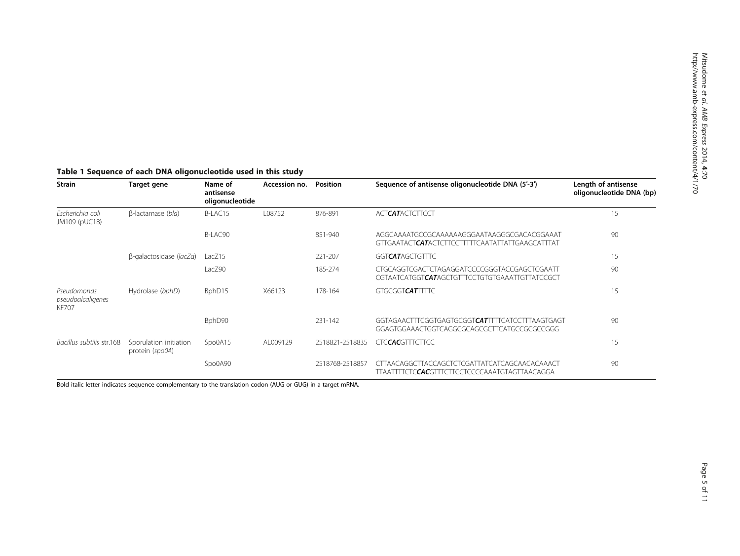| Strain                                           | Target gene                               | Name of<br>antisense<br>oligonucleotide | Accession no. | <b>Position</b> | Sequence of antisense oligonucleotide DNA (5'-3')                                                       | Length of antisense<br>oligonucleotide DNA (bp) |
|--------------------------------------------------|-------------------------------------------|-----------------------------------------|---------------|-----------------|---------------------------------------------------------------------------------------------------------|-------------------------------------------------|
| Escherichia coli<br>JM109 (pUC18)                | β-lactamase (bla)                         | B-LAC15                                 | L08752        | 876-891         | <b>ACTCATACTCTTCCT</b>                                                                                  | 15                                              |
|                                                  |                                           | B-LAC90                                 |               | 851-940         | AGGCAAAATGCCGCAAAAAAGGGAATAAGGGCGACACGGAAAT<br>GTTGAATACT <b>CAT</b> ACTCTTCCTTTTTCAATATTATTGAAGCATTTAT | 90                                              |
|                                                  | $\beta$ -galactosidase (lacZa)            | LacZ15                                  |               | 221-207         | GGT <b>CAT</b> AGCTGTTTC                                                                                | 15                                              |
|                                                  |                                           | LacZ90                                  |               | 185-274         | CTGCAGGTCGACTCTAGAGGATCCCCGGGTACCGAGCTCGAATT<br>CGTAATCATGGT <b>CAT</b> AGCTGTTTCCTGTGTGAAATTGTTATCCGCT | 90                                              |
| Pseudomonas<br>pseudoalcaligenes<br><b>KF707</b> | Hydrolase (bphD)                          | BphD15                                  | X66123        | 178-164         | GTGCGGT <b>CAT</b> TTTC                                                                                 | 15                                              |
|                                                  |                                           | BphD90                                  |               | 231-142         | GGTAGAACTTTCGGTGAGTGCGGT <b>CAT</b> TTTTCATCCTTTAAGTGAGT<br>GGAGTGGAAACTGGTCAGGCGCAGCGCTTCATGCCGCGCCGGG | 90                                              |
| Bacillus subtilis str.168                        | Sporulation initiation<br>protein (spo0A) | Spo0A15                                 | AL009129      | 2518821-2518835 | CTC <b>CAC</b> GTTTCTTCC                                                                                | 15                                              |
|                                                  |                                           | Spo0A90                                 |               | 2518768-2518857 | CTTAACAGGCTTACCAGCTCTCGATTATCATCAGCAACACAAACT<br>TTAATTTTCTC <b>CAC</b> GTTTCTTCCTCCCCAAATGTAGTTAACAGGA | 90                                              |

#### <span id="page-4-0"></span>Table 1 Sequence of each DNA oligonucleotide used in this study

Bold italic letter indicates sequence complementary to the translation codon (AUG or GUG) in a target mRNA.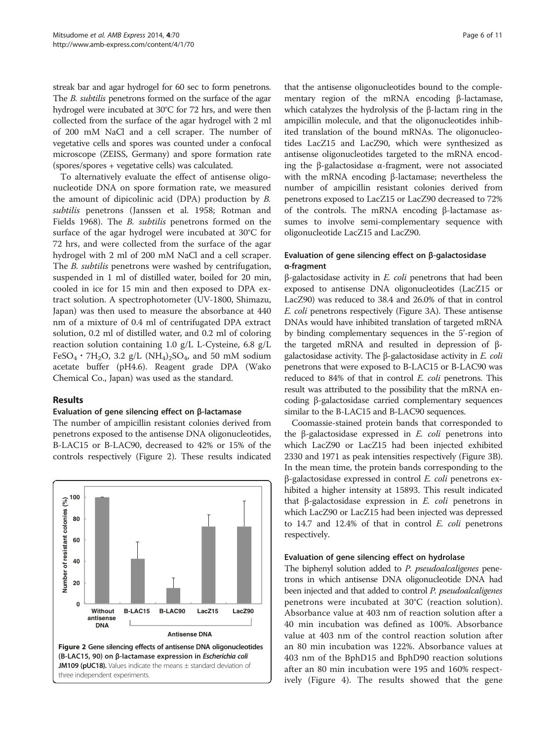streak bar and agar hydrogel for 60 sec to form penetrons. The B. subtilis penetrons formed on the surface of the agar hydrogel were incubated at 30°C for 72 hrs, and were then collected from the surface of the agar hydrogel with 2 ml of 200 mM NaCl and a cell scraper. The number of vegetative cells and spores was counted under a confocal microscope (ZEISS, Germany) and spore formation rate (spores/spores + vegetative cells) was calculated.

To alternatively evaluate the effect of antisense oligonucleotide DNA on spore formation rate, we measured the amount of dipicolinic acid (DPA) production by B. subtilis penetrons (Janssen et al. [1958](#page-9-0); Rotman and Fields [1968\)](#page-10-0). The B. subtilis penetrons formed on the surface of the agar hydrogel were incubated at 30°C for 72 hrs, and were collected from the surface of the agar hydrogel with 2 ml of 200 mM NaCl and a cell scraper. The B. subtilis penetrons were washed by centrifugation, suspended in 1 ml of distilled water, boiled for 20 min, cooled in ice for 15 min and then exposed to DPA extract solution. A spectrophotometer (UV-1800, Shimazu, Japan) was then used to measure the absorbance at 440 nm of a mixture of 0.4 ml of centrifugated DPA extract solution, 0.2 ml of distilled water, and 0.2 ml of coloring reaction solution containing 1.0 g/L L-Cysteine, 6.8 g/L FeSO<sub>4</sub> · 7H<sub>2</sub>O, 3.2 g/L (NH<sub>4</sub>)<sub>2</sub>SO<sub>4</sub>, and 50 mM sodium acetate buffer (pH4.6). Reagent grade DPA (Wako Chemical Co., Japan) was used as the standard.

#### Results

#### Evaluation of gene silencing effect on β-lactamase

The number of ampicillin resistant colonies derived from penetrons exposed to the antisense DNA oligonucleotides, B-LAC15 or B-LAC90, decreased to 42% or 15% of the controls respectively (Figure 2). These results indicated



that the antisense oligonucleotides bound to the complementary region of the mRNA encoding β-lactamase, which catalyzes the hydrolysis of the β-lactam ring in the ampicillin molecule, and that the oligonucleotides inhibited translation of the bound mRNAs. The oligonucleotides LacZ15 and LacZ90, which were synthesized as antisense oligonucleotides targeted to the mRNA encoding the β-galactosidase α-fragment, were not associated with the mRNA encoding β-lactamase; nevertheless the number of ampicillin resistant colonies derived from penetrons exposed to LacZ15 or LacZ90 decreased to 72% of the controls. The mRNA encoding β-lactamase assumes to involve semi-complementary sequence with oligonucleotide LacZ15 and LacZ90.

## Evaluation of gene silencing effect on β-galactosidase α-fragment

 $β$ -galactosidase activity in *E. coli* penetrons that had been exposed to antisense DNA oligonucleotides (LacZ15 or LacZ90) was reduced to 38.4 and 26.0% of that in control E. coli penetrons respectively (Figure [3](#page-6-0)A). These antisense DNAs would have inhibited translation of targeted mRNA by binding complementary sequences in the 5'-region of the targeted mRNA and resulted in depression of βgalactosidase activity. The  $β$ -galactosidase activity in  $E.$  coli penetrons that were exposed to B-LAC15 or B-LAC90 was reduced to 84% of that in control E. coli penetrons. This result was attributed to the possibility that the mRNA encoding β-galactosidase carried complementary sequences similar to the B-LAC15 and B-LAC90 sequences.

Coomassie-stained protein bands that corresponded to the β-galactosidase expressed in  $E$ . *coli* penetrons into which LacZ90 or LacZ15 had been injected exhibited 2330 and 1971 as peak intensities respectively (Figure [3B](#page-6-0)). In the mean time, the protein bands corresponding to the β-galactosidase expressed in control E. coli penetrons exhibited a higher intensity at 15893. This result indicated that β-galactosidase expression in  $E$ . *coli* penetrons in which LacZ90 or LacZ15 had been injected was depressed to 14.7 and 12.4% of that in control E. coli penetrons respectively.

#### Evaluation of gene silencing effect on hydrolase

The biphenyl solution added to P. pseudoalcaligenes penetrons in which antisense DNA oligonucleotide DNA had been injected and that added to control P. pseudoalcaligenes penetrons were incubated at 30°C (reaction solution). Absorbance value at 403 nm of reaction solution after a 40 min incubation was defined as 100%. Absorbance value at 403 nm of the control reaction solution after an 80 min incubation was 122%. Absorbance values at 403 nm of the BphD15 and BphD90 reaction solutions after an 80 min incubation were 195 and 160% respectively (Figure [4\)](#page-7-0). The results showed that the gene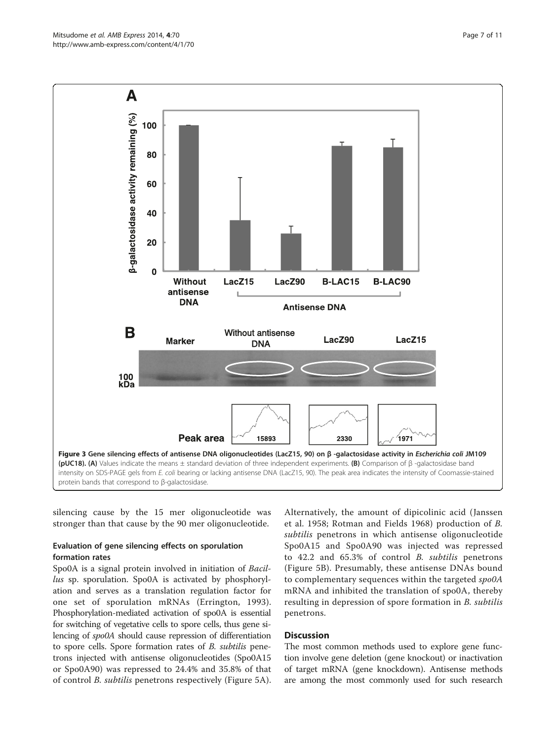<span id="page-6-0"></span>

silencing cause by the 15 mer oligonucleotide was stronger than that cause by the 90 mer oligonucleotide.

#### Evaluation of gene silencing effects on sporulation formation rates

Spo0A is a signal protein involved in initiation of Bacillus sp. sporulation. Spo0A is activated by phosphorylation and serves as a translation regulation factor for one set of sporulation mRNAs (Errington, [1993](#page-9-0)). Phosphorylation-mediated activation of spo0A is essential for switching of vegetative cells to spore cells, thus gene silencing of spo0A should cause repression of differentiation to spore cells. Spore formation rates of B. subtilis penetrons injected with antisense oligonucleotides (Spo0A15 or Spo0A90) was repressed to 24.4% and 35.8% of that of control B. subtilis penetrons respectively (Figure [5](#page-8-0)A). Alternatively, the amount of dipicolinic acid (Janssen et al. [1958;](#page-9-0) Rotman and Fields [1968\)](#page-10-0) production of B. subtilis penetrons in which antisense oligonucleotide Spo0A15 and Spo0A90 was injected was repressed to 42.2 and 65.3% of control B. subtilis penetrons (Figure [5B](#page-8-0)). Presumably, these antisense DNAs bound to complementary sequences within the targeted spo0A mRNA and inhibited the translation of spo0A, thereby resulting in depression of spore formation in B. subtilis penetrons.

#### **Discussion**

The most common methods used to explore gene function involve gene deletion (gene knockout) or inactivation of target mRNA (gene knockdown). Antisense methods are among the most commonly used for such research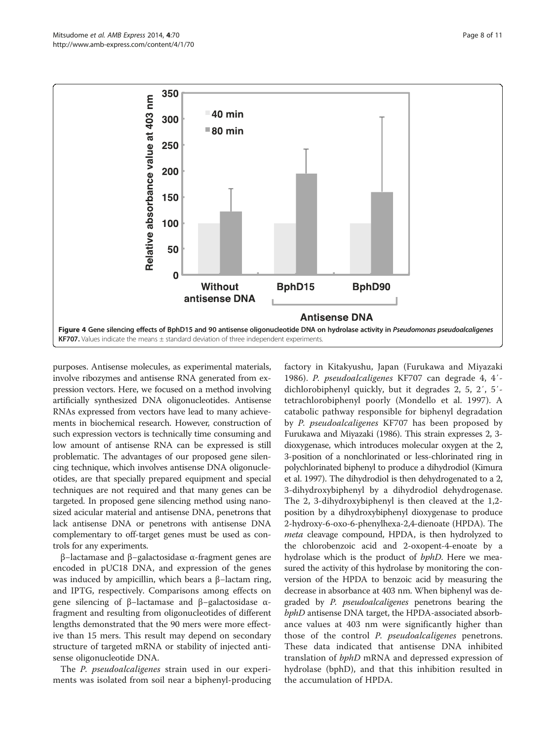<span id="page-7-0"></span>![](_page_7_Figure_1.jpeg)

purposes. Antisense molecules, as experimental materials, involve ribozymes and antisense RNA generated from expression vectors. Here, we focused on a method involving artificially synthesized DNA oligonucleotides. Antisense RNAs expressed from vectors have lead to many achievements in biochemical research. However, construction of such expression vectors is technically time consuming and low amount of antisense RNA can be expressed is still problematic. The advantages of our proposed gene silencing technique, which involves antisense DNA oligonucleotides, are that specially prepared equipment and special techniques are not required and that many genes can be targeted. In proposed gene silencing method using nanosized acicular material and antisense DNA, penetrons that lack antisense DNA or penetrons with antisense DNA complementary to off-target genes must be used as controls for any experiments.

β−lactamase and β−galactosidase α-fragment genes are encoded in pUC18 DNA, and expression of the genes was induced by ampicillin, which bears a β−lactam ring, and IPTG, respectively. Comparisons among effects on gene silencing of β−lactamase and β−galactosidase αfragment and resulting from oligonucleotides of different lengths demonstrated that the 90 mers were more effective than 15 mers. This result may depend on secondary structure of targeted mRNA or stability of injected antisense oligonucleotide DNA.

The *P. pseudoalcaligenes* strain used in our experiments was isolated from soil near a biphenyl-producing

factory in Kitakyushu, Japan (Furukawa and Miyazaki [1986\)](#page-9-0). P. pseudoalcaligenes KF707 can degrade 4, 4′ dichlorobiphenyl quickly, but it degrades 2, 5, 2′, 5′ tetrachlorobiphenyl poorly (Mondello et al. [1997\)](#page-10-0). A catabolic pathway responsible for biphenyl degradation by P. pseudoalcaligenes KF707 has been proposed by Furukawa and Miyazaki [\(1986\)](#page-9-0). This strain expresses 2, 3 dioxygenase, which introduces molecular oxygen at the 2, 3-position of a nonchlorinated or less-chlorinated ring in polychlorinated biphenyl to produce a dihydrodiol (Kimura et al. [1997](#page-9-0)). The dihydrodiol is then dehydrogenated to a 2, 3-dihydroxybiphenyl by a dihydrodiol dehydrogenase. The 2, 3-dihydroxybiphenyl is then cleaved at the 1,2 position by a dihydroxybiphenyl dioxygenase to produce 2-hydroxy-6-oxo-6-phenylhexa-2,4-dienoate (HPDA). The meta cleavage compound, HPDA, is then hydrolyzed to the chlorobenzoic acid and 2-oxopent-4-enoate by a hydrolase which is the product of bphD. Here we measured the activity of this hydrolase by monitoring the conversion of the HPDA to benzoic acid by measuring the decrease in absorbance at 403 nm. When biphenyl was degraded by P. pseudoalcaligenes penetrons bearing the bphD antisense DNA target, the HPDA-associated absorbance values at 403 nm were significantly higher than those of the control *P. pseudoalcaligenes* penetrons. These data indicated that antisense DNA inhibited translation of bphD mRNA and depressed expression of hydrolase (bphD), and that this inhibition resulted in the accumulation of HPDA.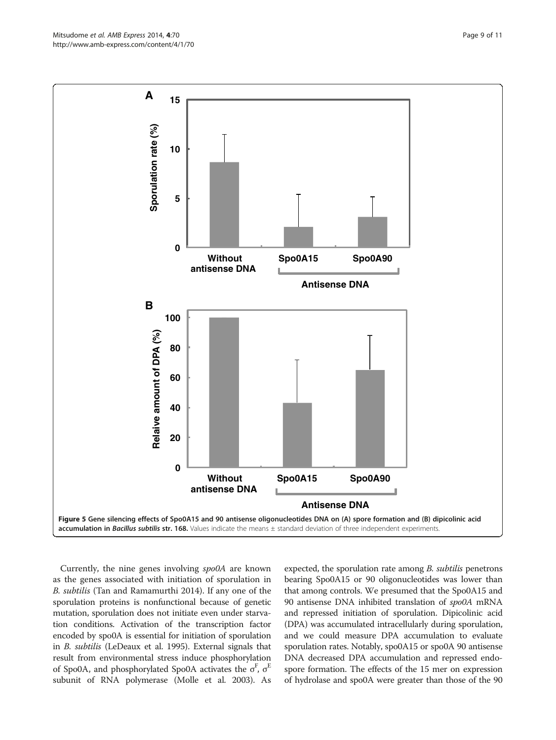Currently, the nine genes involving spo0A are known as the genes associated with initiation of sporulation in B. subtilis (Tan and Ramamurthi [2014\)](#page-10-0). If any one of the sporulation proteins is nonfunctional because of genetic mutation, sporulation does not initiate even under starvation conditions. Activation of the transcription factor encoded by spo0A is essential for initiation of sporulation in B. subtilis (LeDeaux et al. [1995](#page-9-0)). External signals that result from environmental stress induce phosphorylation of Spo0A, and phosphorylated Spo0A activates the  $\sigma$ <sup>F</sup>,  $\sigma$ <sup>E</sup> subunit of RNA polymerase (Molle et al. [2003](#page-10-0)). As

expected, the sporulation rate among B. subtilis penetrons bearing Spo0A15 or 90 oligonucleotides was lower than that among controls. We presumed that the Spo0A15 and 90 antisense DNA inhibited translation of spo0A mRNA and repressed initiation of sporulation. Dipicolinic acid (DPA) was accumulated intracellularly during sporulation, and we could measure DPA accumulation to evaluate sporulation rates. Notably, spo0A15 or spo0A 90 antisense DNA decreased DPA accumulation and repressed endospore formation. The effects of the 15 mer on expression of hydrolase and spo0A were greater than those of the 90

<span id="page-8-0"></span>![](_page_8_Figure_2.jpeg)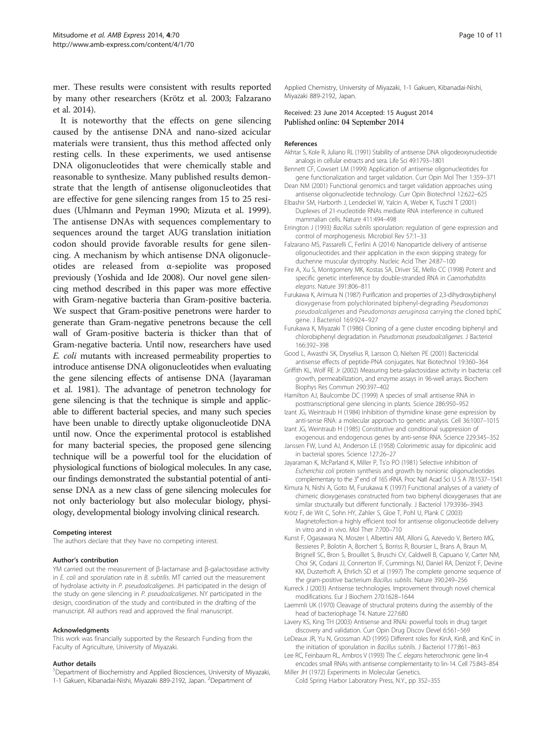<span id="page-9-0"></span>mer. These results were consistent with results reported by many other researchers (Krötz et al. 2003; Falzarano et al. 2014).

It is noteworthy that the effects on gene silencing caused by the antisense DNA and nano-sized acicular materials were transient, thus this method affected only resting cells. In these experiments, we used antisense DNA oligonucleotides that were chemically stable and reasonable to synthesize. Many published results demonstrate that the length of antisense oligonucleotides that are effective for gene silencing ranges from 15 to 25 residues (Uhlmann and Peyman [1990;](#page-10-0) Mizuta et al. [1999](#page-10-0)). The antisense DNAs with sequences complementary to sequences around the target AUG translation initiation codon should provide favorable results for gene silencing. A mechanism by which antisense DNA oligonucleotides are released from α-sepiolite was proposed previously (Yoshida and Ide [2008\)](#page-10-0). Our novel gene silencing method described in this paper was more effective with Gram-negative bacteria than Gram-positive bacteria. We suspect that Gram-positive penetrons were harder to generate than Gram-negative penetrons because the cell wall of Gram-positive bacteria is thicker than that of Gram-negative bacteria. Until now, researchers have used E. coli mutants with increased permeability properties to introduce antisense DNA oligonucleotides when evaluating the gene silencing effects of antisense DNA (Jayaraman et al. 1981). The advantage of penetron technology for gene silencing is that the technique is simple and applicable to different bacterial species, and many such species have been unable to directly uptake oligonucleotide DNA until now. Once the experimental protocol is established for many bacterial species, the proposed gene silencing technique will be a powerful tool for the elucidation of physiological functions of biological molecules. In any case, our findings demonstrated the substantial potential of antisense DNA as a new class of gene silencing molecules for not only bacteriology but also molecular biology, physiology, developmental biology involving clinical research.

#### Competing interest

The authors declare that they have no competing interest.

#### Author's contribution

YM carried out the measurement of β-lactamase and β-galactosidase activity in E. coli and sporulation rate in B. subtilis. MT carried out the measurement of hydrolase activity in P. pseudoalcaligenes. JH participated in the design of the study on gene silencing in P. pseudoalcaligenes. NY participated in the design, coordination of the study and contributed in the drafting of the manuscript. All authors read and approved the final manuscript.

#### Acknowledgments

This work was financially supported by the Research Funding from the Faculty of Agriculture, University of Miyazaki.

#### Author details

<sup>1</sup>Department of Biochemistry and Applied Biosciences, University of Miyazaki, 1-1 Gakuen, Kibanadai-Nishi, Miyazaki 889-2192, Japan. <sup>2</sup>Department of

Applied Chemistry, University of Miyazaki, 1-1 Gakuen, Kibanadai-Nishi, Miyazaki 889-2192, Japan.

#### Received: 23 June 2014 Accepted: 15 August 2014 Published online: 04 September 2014

#### References

- Akhtar S, Kole R, Juliano RL (1991) Stability of antisense DNA oligodeoxynucleotide analogs in cellular extracts and sera. Life Sci 49:1793–1801
- Bennett CF, Cowsert LM (1999) Application of antisense oligonucleotides for gene functionalization and target validation. Curr Opin Mol Ther 1:359–371
- Dean NM (2001) Functional genomics and target validation approaches using antisense oligonucleotide technology. Curr Opin Biotechnol 12:622–625
- Elbashir SM, Harborth J, Lendeckel W, Yalcin A, Weber K, Tuschl T (2001) Duplexes of 21-nucleotide RNAs mediate RNA interference in cultured mammalian cells. Nature 411:494–498
- Errington J (1993) Bacillus subtilis sporulation: regulation of gene expression and control of morphogenesis. Microbiol Rev 57:1–33
- Falzarano MS, Passarelli C, Ferlini A (2014) Nanoparticle delivery of antisense oligonucleotides and their application in the exon skipping strategy for duchenne muscular dystrophy. Nucleic Acid Ther 24:87–100
- Fire A, Xu S, Montgomery MK, Kostas SA, Driver SE, Mello CC (1998) Potent and specific genetic interference by double-stranded RNA in Caenorhabditis elegans. Nature 391:806–811
- Furukawa K, Arimura N (1987) Purification and properties of 2,3-dihydroxybiphenyl dioxygenase from polychlorinated biphenyl-degrading Pseudomonas pseudoalcaligenes and Pseudomonas aeruginosa carrying the cloned bphC gene. J Bacteriol 169:924–927
- Furukawa K, Miyazaki T (1986) Cloning of a gene cluster encoding biphenyl and chlorobiphenyl degradation in Pseudomonas pseudoalcaligenes. J Bacteriol 166:392–398
- Good L, Awasthi SK, Dryselius R, Larsson O, Nielsen PE (2001) Bactericidal antisense effects of peptide-PNA conjugates. Nat Biotechnol 19:360–364
- Griffith KL, Wolf RE Jr (2002) Measuring beta-galactosidase activity in bacteria: cell growth, permeabilization, and enzyme assays in 96-well arrays. Biochem Biophys Res Commun 290:397–402
- Hamilton AJ, Baulcombe DC (1999) A species of small antisense RNA in posttranscriptional gene silencing in plants. Science 286:950–952
- Izant JG, Weintraub H (1984) Inhibition of thymidine kinase gene expression by anti-sense RNA: a molecular approach to genetic analysis. Cell 36:1007–1015
- Izant JG, Weintraub H (1985) Constitutive and conditional suppression of exogenous and endogenous genes by anti-sense RNA. Science 229:345–352
- Janssen FW, Lund AJ, Anderson LE (1958) Colorimetric assay for dipicolinic acid in bacterial spores. Science 127:26–27
- Jayaraman K, McParland K, Miller P, Ts'o PO (1981) Selective inhibition of Escherichia coli protein synthesis and growth by nonionic oligonucleotides complementary to the 3′ end of 16S rRNA. Proc Natl Acad Sci U S A 78:1537–1541
- Kimura N, Nishi A, Goto M, Furukawa K (1997) Functional analyses of a variety of chimeric dioxygenases constructed from two biphenyl dioxygenases that are similar structurally but different functionally. J Bacteriol 179:3936–3943 Krötz F, de Wit C, Sohn HY, Zahler S, Gloe T, Pohl U, Plank C (2003)
- Magnetofection-a highly efficient tool for antisense oligonucleotide delivery in vitro and in vivo. Mol Ther 7:700–710
- Kunst F, Ogasawara N, Moszer I, Albertini AM, Alloni G, Azevedo V, Bertero MG, Bessieres P, Bolotin A, Borchert S, Borriss R, Boursier L, Brans A, Braun M, Brignell SC, Bron S, Brouillet S, Bruschi CV, Caldwell B, Capuano V, Carter NM, Choi SK, Codani JJ, Connerton IF, Cummings NJ, Daniel RA, Denizot F, Devine KM, Dusterhoft A, Ehrlich SD et al (1997) The complete genome sequence of the gram-positive bacterium Bacillus subtilis. Nature 390:249–256
- Kurreck J (2003) Antisense technologies. Improvement through novel chemical modifications. Eur J Biochem 270:1628–1644
- Laemmli UK (1970) Cleavage of structural proteins during the assembly of the head of bacteriophage T4. Nature 227:680
- Lavery KS, King TH (2003) Antisense and RNAi: powerful tools in drug target discovery and validation. Curr Opin Drug Discov Devel 6:561–569
- LeDeaux JR, Yu N, Grossman AD (1995) Different roles for KinA, KinB, and KinC in the initiation of sporulation in Bacillus subtilis. J Bacteriol 177:861–863
- Lee RC, Feinbaum RL, Ambros V (1993) The C. elegans heterochronic gene lin-4 encodes small RNAs with antisense complementarity to lin-14. Cell 75:843–854 Miller JH (1972) Experiments in Molecular Genetics.
	- Cold Spring Harbor Laboratory Press, N.Y., pp 352–355